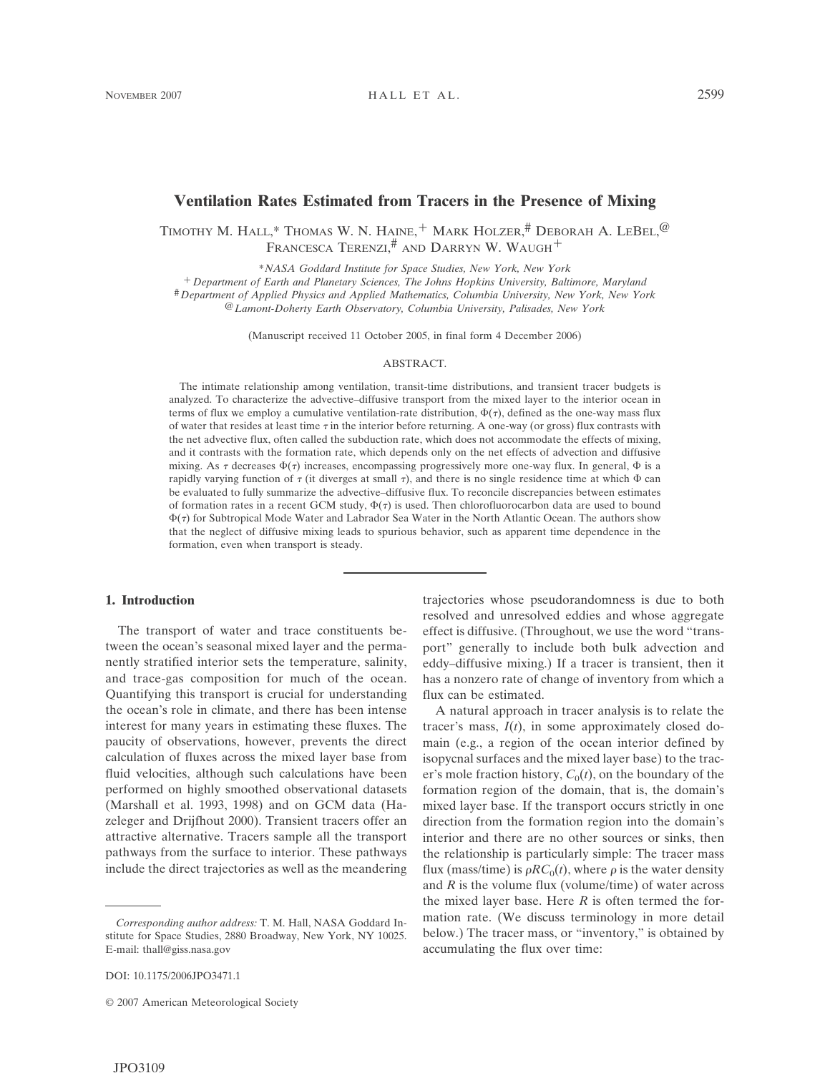# **Ventilation Rates Estimated from Tracers in the Presence of Mixing**

TIMOTHY M. HALL,\* THOMAS W. N. HAINE, $^+$  Mark Holzer, $^{\#}$  Deborah A. LeBel, $^{\textcircled{\tiny{\textcirc}}}$ FRANCESCA TERENZI,<sup>#</sup> and Darryn W. Waugh<sup>+</sup>

*\* NASA Goddard Institute for Space Studies, New York, New York*

*Department of Earth and Planetary Sciences, The Johns Hopkins University, Baltimore, Maryland*

*#Department of Applied Physics and Applied Mathematics, Columbia University, New York, New York*

*@Lamont-Doherty Earth Observatory, Columbia University, Palisades, New York*

(Manuscript received 11 October 2005, in final form 4 December 2006)

#### ABSTRACT.

The intimate relationship among ventilation, transit-time distributions, and transient tracer budgets is analyzed. To characterize the advective–diffusive transport from the mixed layer to the interior ocean in terms of flux we employ a cumulative ventilation-rate distribution,  $\Phi(\tau)$ , defined as the one-way mass flux of water that resides at least time  $\tau$  in the interior before returning. A one-way (or gross) flux contrasts with the net advective flux, often called the subduction rate, which does not accommodate the effects of mixing, and it contrasts with the formation rate, which depends only on the net effects of advection and diffusive mixing. As  $\tau$  decreases  $\Phi(\tau)$  increases, encompassing progressively more one-way flux. In general,  $\Phi$  is a rapidly varying function of  $\tau$  (it diverges at small  $\tau$ ), and there is no single residence time at which  $\Phi$  can be evaluated to fully summarize the advective–diffusive flux. To reconcile discrepancies between estimates of formation rates in a recent GCM study,  $\Phi(\tau)$  is used. Then chlorofluorocarbon data are used to bound  $\Phi(\tau)$  for Subtropical Mode Water and Labrador Sea Water in the North Atlantic Ocean. The authors show that the neglect of diffusive mixing leads to spurious behavior, such as apparent time dependence in the formation, even when transport is steady.

## **1. Introduction**

The transport of water and trace constituents between the ocean's seasonal mixed layer and the permanently stratified interior sets the temperature, salinity, and trace-gas composition for much of the ocean. Quantifying this transport is crucial for understanding the ocean's role in climate, and there has been intense interest for many years in estimating these fluxes. The paucity of observations, however, prevents the direct calculation of fluxes across the mixed layer base from fluid velocities, although such calculations have been performed on highly smoothed observational datasets (Marshall et al. 1993, 1998) and on GCM data (Hazeleger and Drijfhout 2000). Transient tracers offer an attractive alternative. Tracers sample all the transport pathways from the surface to interior. These pathways include the direct trajectories as well as the meandering

DOI: 10.1175/2006JPO3471.1

trajectories whose pseudorandomness is due to both resolved and unresolved eddies and whose aggregate effect is diffusive. (Throughout, we use the word "transport" generally to include both bulk advection and eddy–diffusive mixing.) If a tracer is transient, then it has a nonzero rate of change of inventory from which a flux can be estimated.

A natural approach in tracer analysis is to relate the tracer's mass,  $I(t)$ , in some approximately closed domain (e.g., a region of the ocean interior defined by isopycnal surfaces and the mixed layer base) to the tracer's mole fraction history,  $C_0(t)$ , on the boundary of the formation region of the domain, that is, the domain's mixed layer base. If the transport occurs strictly in one direction from the formation region into the domain's interior and there are no other sources or sinks, then the relationship is particularly simple: The tracer mass flux (mass/time) is  $\rho RC_0(t)$ , where  $\rho$  is the water density and  $R$  is the volume flux (volume/time) of water across the mixed layer base. Here *R* is often termed the formation rate. (We discuss terminology in more detail below.) The tracer mass, or "inventory," is obtained by accumulating the flux over time:

*Corresponding author address:* T. M. Hall, NASA Goddard Institute for Space Studies, 2880 Broadway, New York, NY 10025. E-mail: thall@giss.nasa.gov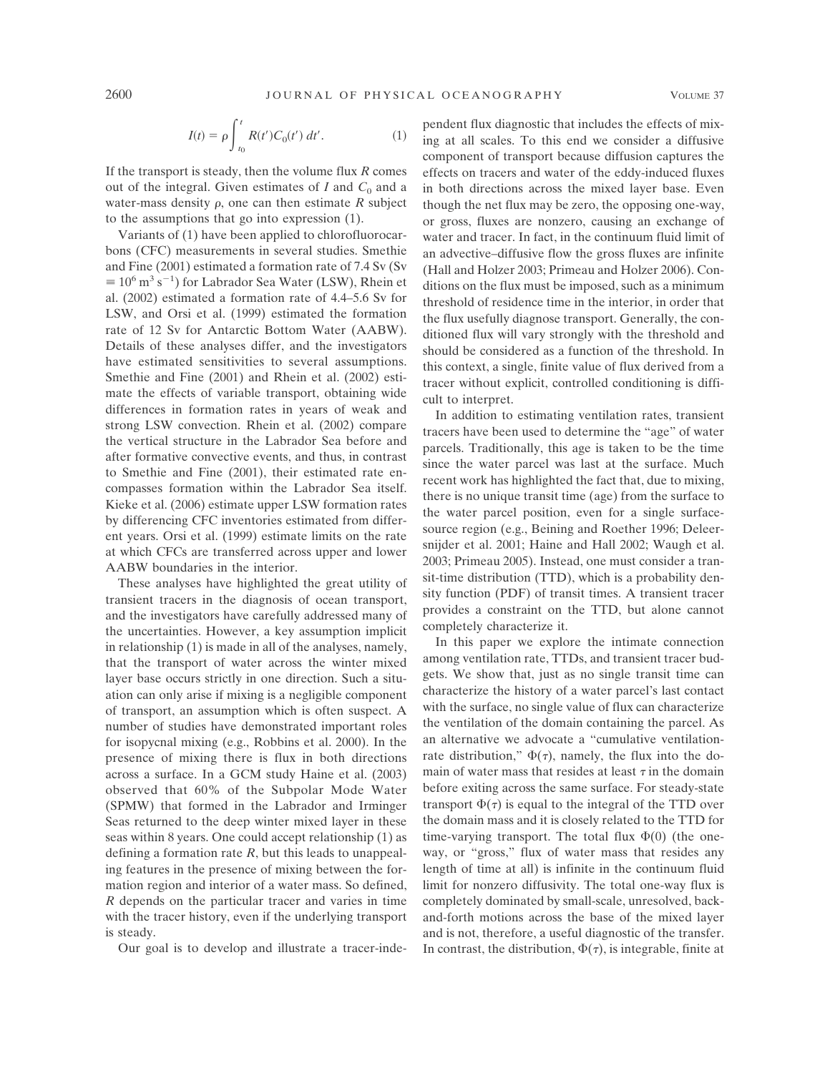$$
I(t) = \rho \int_{t_0}^t R(t') C_0(t') dt'.
$$
 (1)

If the transport is steady, then the volume flux *R* comes out of the integral. Given estimates of  $I$  and  $C_0$  and a water-mass density  $\rho$ , one can then estimate  $R$  subject to the assumptions that go into expression (1).

Variants of (1) have been applied to chlorofluorocarbons (CFC) measurements in several studies. Smethie and Fine (2001) estimated a formation rate of 7.4 Sv (Sv  $\equiv 10^6 \,\mathrm{m}^3 \,\mathrm{s}^{-1}$ ) for Labrador Sea Water (LSW), Rhein et al. (2002) estimated a formation rate of 4.4–5.6 Sv for LSW, and Orsi et al. (1999) estimated the formation rate of 12 Sv for Antarctic Bottom Water (AABW). Details of these analyses differ, and the investigators have estimated sensitivities to several assumptions. Smethie and Fine (2001) and Rhein et al. (2002) estimate the effects of variable transport, obtaining wide differences in formation rates in years of weak and strong LSW convection. Rhein et al. (2002) compare the vertical structure in the Labrador Sea before and after formative convective events, and thus, in contrast to Smethie and Fine (2001), their estimated rate encompasses formation within the Labrador Sea itself. Kieke et al. (2006) estimate upper LSW formation rates by differencing CFC inventories estimated from different years. Orsi et al. (1999) estimate limits on the rate at which CFCs are transferred across upper and lower AABW boundaries in the interior.

These analyses have highlighted the great utility of transient tracers in the diagnosis of ocean transport, and the investigators have carefully addressed many of the uncertainties. However, a key assumption implicit in relationship (1) is made in all of the analyses, namely, that the transport of water across the winter mixed layer base occurs strictly in one direction. Such a situation can only arise if mixing is a negligible component of transport, an assumption which is often suspect. A number of studies have demonstrated important roles for isopycnal mixing (e.g., Robbins et al. 2000). In the presence of mixing there is flux in both directions across a surface. In a GCM study Haine et al. (2003) observed that 60% of the Subpolar Mode Water (SPMW) that formed in the Labrador and Irminger Seas returned to the deep winter mixed layer in these seas within 8 years. One could accept relationship (1) as defining a formation rate *R*, but this leads to unappealing features in the presence of mixing between the formation region and interior of a water mass. So defined, *R* depends on the particular tracer and varies in time with the tracer history, even if the underlying transport is steady.

Our goal is to develop and illustrate a tracer-inde-

pendent flux diagnostic that includes the effects of mixing at all scales. To this end we consider a diffusive component of transport because diffusion captures the effects on tracers and water of the eddy-induced fluxes in both directions across the mixed layer base. Even though the net flux may be zero, the opposing one-way, or gross, fluxes are nonzero, causing an exchange of water and tracer. In fact, in the continuum fluid limit of an advective–diffusive flow the gross fluxes are infinite (Hall and Holzer 2003; Primeau and Holzer 2006). Conditions on the flux must be imposed, such as a minimum threshold of residence time in the interior, in order that the flux usefully diagnose transport. Generally, the conditioned flux will vary strongly with the threshold and should be considered as a function of the threshold. In this context, a single, finite value of flux derived from a tracer without explicit, controlled conditioning is difficult to interpret.

In addition to estimating ventilation rates, transient tracers have been used to determine the "age" of water parcels. Traditionally, this age is taken to be the time since the water parcel was last at the surface. Much recent work has highlighted the fact that, due to mixing, there is no unique transit time (age) from the surface to the water parcel position, even for a single surfacesource region (e.g., Beining and Roether 1996; Deleersnijder et al. 2001; Haine and Hall 2002; Waugh et al. 2003; Primeau 2005). Instead, one must consider a transit-time distribution (TTD), which is a probability density function (PDF) of transit times. A transient tracer provides a constraint on the TTD, but alone cannot completely characterize it.

In this paper we explore the intimate connection among ventilation rate, TTDs, and transient tracer budgets. We show that, just as no single transit time can characterize the history of a water parcel's last contact with the surface, no single value of flux can characterize the ventilation of the domain containing the parcel. As an alternative we advocate a "cumulative ventilationrate distribution,"  $\Phi(\tau)$ , namely, the flux into the domain of water mass that resides at least  $\tau$  in the domain before exiting across the same surface. For steady-state transport  $\Phi(\tau)$  is equal to the integral of the TTD over the domain mass and it is closely related to the TTD for time-varying transport. The total flux  $\Phi(0)$  (the oneway, or "gross," flux of water mass that resides any length of time at all) is infinite in the continuum fluid limit for nonzero diffusivity. The total one-way flux is completely dominated by small-scale, unresolved, backand-forth motions across the base of the mixed layer and is not, therefore, a useful diagnostic of the transfer. In contrast, the distribution,  $\Phi(\tau)$ , is integrable, finite at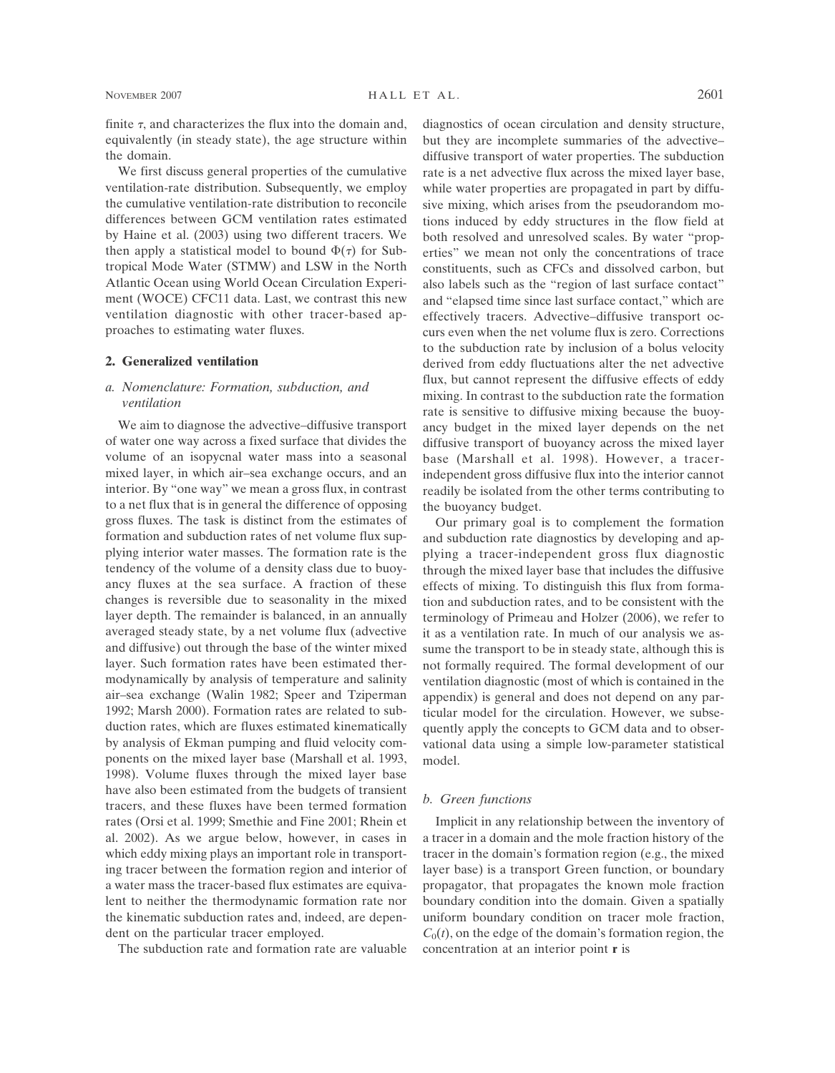finite  $\tau$ , and characterizes the flux into the domain and, equivalently (in steady state), the age structure within the domain.

We first discuss general properties of the cumulative ventilation-rate distribution. Subsequently, we employ the cumulative ventilation-rate distribution to reconcile differences between GCM ventilation rates estimated by Haine et al. (2003) using two different tracers. We then apply a statistical model to bound  $\Phi(\tau)$  for Subtropical Mode Water (STMW) and LSW in the North Atlantic Ocean using World Ocean Circulation Experiment (WOCE) CFC11 data. Last, we contrast this new ventilation diagnostic with other tracer-based approaches to estimating water fluxes.

# **2. Generalized ventilation**

## *a. Nomenclature: Formation, subduction, and ventilation*

We aim to diagnose the advective–diffusive transport of water one way across a fixed surface that divides the volume of an isopycnal water mass into a seasonal mixed layer, in which air–sea exchange occurs, and an interior. By "one way" we mean a gross flux, in contrast to a net flux that is in general the difference of opposing gross fluxes. The task is distinct from the estimates of formation and subduction rates of net volume flux supplying interior water masses. The formation rate is the tendency of the volume of a density class due to buoyancy fluxes at the sea surface. A fraction of these changes is reversible due to seasonality in the mixed layer depth. The remainder is balanced, in an annually averaged steady state, by a net volume flux (advective and diffusive) out through the base of the winter mixed layer. Such formation rates have been estimated thermodynamically by analysis of temperature and salinity air–sea exchange (Walin 1982; Speer and Tziperman 1992; Marsh 2000). Formation rates are related to subduction rates, which are fluxes estimated kinematically by analysis of Ekman pumping and fluid velocity components on the mixed layer base (Marshall et al. 1993, 1998). Volume fluxes through the mixed layer base have also been estimated from the budgets of transient tracers, and these fluxes have been termed formation rates (Orsi et al. 1999; Smethie and Fine 2001; Rhein et al. 2002). As we argue below, however, in cases in which eddy mixing plays an important role in transporting tracer between the formation region and interior of a water mass the tracer-based flux estimates are equivalent to neither the thermodynamic formation rate nor the kinematic subduction rates and, indeed, are dependent on the particular tracer employed.

The subduction rate and formation rate are valuable

diagnostics of ocean circulation and density structure, but they are incomplete summaries of the advective– diffusive transport of water properties. The subduction rate is a net advective flux across the mixed layer base, while water properties are propagated in part by diffusive mixing, which arises from the pseudorandom motions induced by eddy structures in the flow field at both resolved and unresolved scales. By water "properties" we mean not only the concentrations of trace constituents, such as CFCs and dissolved carbon, but also labels such as the "region of last surface contact" and "elapsed time since last surface contact," which are effectively tracers. Advective–diffusive transport occurs even when the net volume flux is zero. Corrections to the subduction rate by inclusion of a bolus velocity derived from eddy fluctuations alter the net advective flux, but cannot represent the diffusive effects of eddy mixing. In contrast to the subduction rate the formation rate is sensitive to diffusive mixing because the buoyancy budget in the mixed layer depends on the net diffusive transport of buoyancy across the mixed layer base (Marshall et al. 1998). However, a tracerindependent gross diffusive flux into the interior cannot readily be isolated from the other terms contributing to the buoyancy budget.

Our primary goal is to complement the formation and subduction rate diagnostics by developing and applying a tracer-independent gross flux diagnostic through the mixed layer base that includes the diffusive effects of mixing. To distinguish this flux from formation and subduction rates, and to be consistent with the terminology of Primeau and Holzer (2006), we refer to it as a ventilation rate. In much of our analysis we assume the transport to be in steady state, although this is not formally required. The formal development of our ventilation diagnostic (most of which is contained in the appendix) is general and does not depend on any particular model for the circulation. However, we subsequently apply the concepts to GCM data and to observational data using a simple low-parameter statistical model.

## *b. Green functions*

Implicit in any relationship between the inventory of a tracer in a domain and the mole fraction history of the tracer in the domain's formation region (e.g., the mixed layer base) is a transport Green function, or boundary propagator, that propagates the known mole fraction boundary condition into the domain. Given a spatially uniform boundary condition on tracer mole fraction,  $C_0(t)$ , on the edge of the domain's formation region, the concentration at an interior point **r** is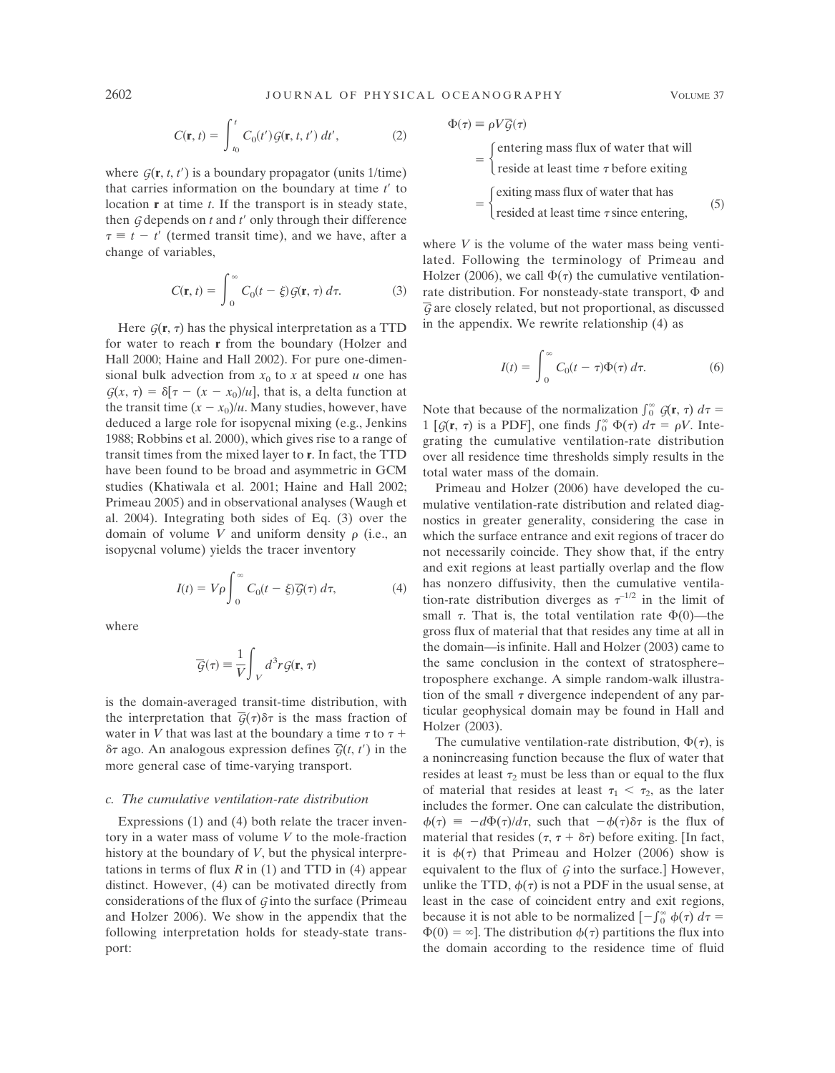$$
C(\mathbf{r}, t) = \int_{t_0}^{t} C_0(t') \mathcal{G}(\mathbf{r}, t, t') dt',
$$
 (2)

where  $G(\mathbf{r}, t, t')$  is a boundary propagator (units 1/time) that carries information on the boundary at time *t* to location **r** at time *t*. If the transport is in steady state, then  $G$  depends on  $t$  and  $t'$  only through their difference  $\tau \equiv t - t'$  (termed transit time), and we have, after a change of variables,

$$
C(\mathbf{r}, t) = \int_0^\infty C_0(t - \xi) \mathcal{G}(\mathbf{r}, \tau) d\tau.
$$
 (3)

Here  $G(\mathbf{r}, \tau)$  has the physical interpretation as a TTD for water to reach **r** from the boundary (Holzer and Hall 2000; Haine and Hall 2002). For pure one-dimensional bulk advection from  $x_0$  to  $x$  at speed  $u$  one has  $G(x, \tau) = \delta[\tau - (x - x_0)/u]$ , that is, a delta function at the transit time  $(x - x_0)/u$ . Many studies, however, have deduced a large role for isopycnal mixing (e.g., Jenkins 1988; Robbins et al. 2000), which gives rise to a range of transit times from the mixed layer to **r**. In fact, the TTD have been found to be broad and asymmetric in GCM studies (Khatiwala et al. 2001; Haine and Hall 2002; Primeau 2005) and in observational analyses (Waugh et al. 2004). Integrating both sides of Eq. (3) over the domain of volume  $V$  and uniform density  $\rho$  (i.e., an isopycnal volume) yields the tracer inventory

$$
I(t) = V\rho \int_0^\infty C_0(t - \xi)\overline{\mathcal{G}}(\tau) d\tau,
$$
 (4)

where

$$
\overline{\mathcal{G}}(\tau) \equiv \frac{1}{V} \int_{V} d^{3}r \mathcal{G}(\mathbf{r}, \tau)
$$

is the domain-averaged transit-time distribution, with the interpretation that  $\overline{G}(\tau)\delta\tau$  is the mass fraction of water in *V* that was last at the boundary a time  $\tau$  to  $\tau$  +  $\delta \tau$  ago. An analogous expression defines  $\overline{\mathcal{G}}(t, t')$  in the more general case of time-varying transport.

### *c. The cumulative ventilation-rate distribution*

Expressions (1) and (4) both relate the tracer inventory in a water mass of volume *V* to the mole-fraction history at the boundary of *V*, but the physical interpretations in terms of flux  $R$  in (1) and TTD in (4) appear distinct. However, (4) can be motivated directly from considerations of the flux of *G* into the surface (Primeau and Holzer 2006). We show in the appendix that the following interpretation holds for steady-state transport:

$$
\Phi(\tau) \equiv \rho V \overline{g}(\tau)
$$
  
= 
$$
\begin{cases}\n\text{entering mass flux of water that will} \\
\text{reside at least time } \tau \text{ before exiting} \\
\text{resided at least time } \tau \text{ since entering,}\n\end{cases}
$$
(5)

where  $V$  is the volume of the water mass being ventilated. Following the terminology of Primeau and Holzer (2006), we call  $\Phi(\tau)$  the cumulative ventilationrate distribution. For nonsteady-state transport,  $\Phi$  and *G* are closely related, but not proportional, as discussed in the appendix. We rewrite relationship (4) as

$$
I(t) = \int_0^\infty C_0(t - \tau) \Phi(\tau) d\tau.
$$
 (6)

Note that because of the normalization  $\int_0^\infty G(\mathbf{r}, \tau) d\tau =$ 1 [ $G(\mathbf{r}, \tau)$  is a PDF], one finds  $\int_0^{\infty} \Phi(\tau) d\tau = \rho V$ . Integrating the cumulative ventilation-rate distribution over all residence time thresholds simply results in the total water mass of the domain.

Primeau and Holzer (2006) have developed the cumulative ventilation-rate distribution and related diagnostics in greater generality, considering the case in which the surface entrance and exit regions of tracer do not necessarily coincide. They show that, if the entry and exit regions at least partially overlap and the flow has nonzero diffusivity, then the cumulative ventilation-rate distribution diverges as  $\tau^{-1/2}$  in the limit of small  $\tau$ . That is, the total ventilation rate  $\Phi(0)$ —the gross flux of material that that resides any time at all in the domain—is infinite. Hall and Holzer (2003) came to the same conclusion in the context of stratosphere– troposphere exchange. A simple random-walk illustration of the small  $\tau$  divergence independent of any particular geophysical domain may be found in Hall and Holzer (2003).

The cumulative ventilation-rate distribution,  $\Phi(\tau)$ , is a nonincreasing function because the flux of water that resides at least  $\tau_2$  must be less than or equal to the flux of material that resides at least  $\tau_1 < \tau_2$ , as the later includes the former. One can calculate the distribution,  $\phi(\tau) = -d\Phi(\tau)/d\tau$ , such that  $-\phi(\tau)\delta\tau$  is the flux of material that resides  $(\tau, \tau + \delta \tau)$  before exiting. [In fact, it is  $\phi(\tau)$  that Primeau and Holzer (2006) show is equivalent to the flux of *G* into the surface.] However, unlike the TTD,  $\phi(\tau)$  is not a PDF in the usual sense, at least in the case of coincident entry and exit regions, because it is not able to be normalized  $[-\int_0^\infty \phi(\tau) d\tau =$  $\Phi(0) = \infty$ . The distribution  $\phi(\tau)$  partitions the flux into the domain according to the residence time of fluid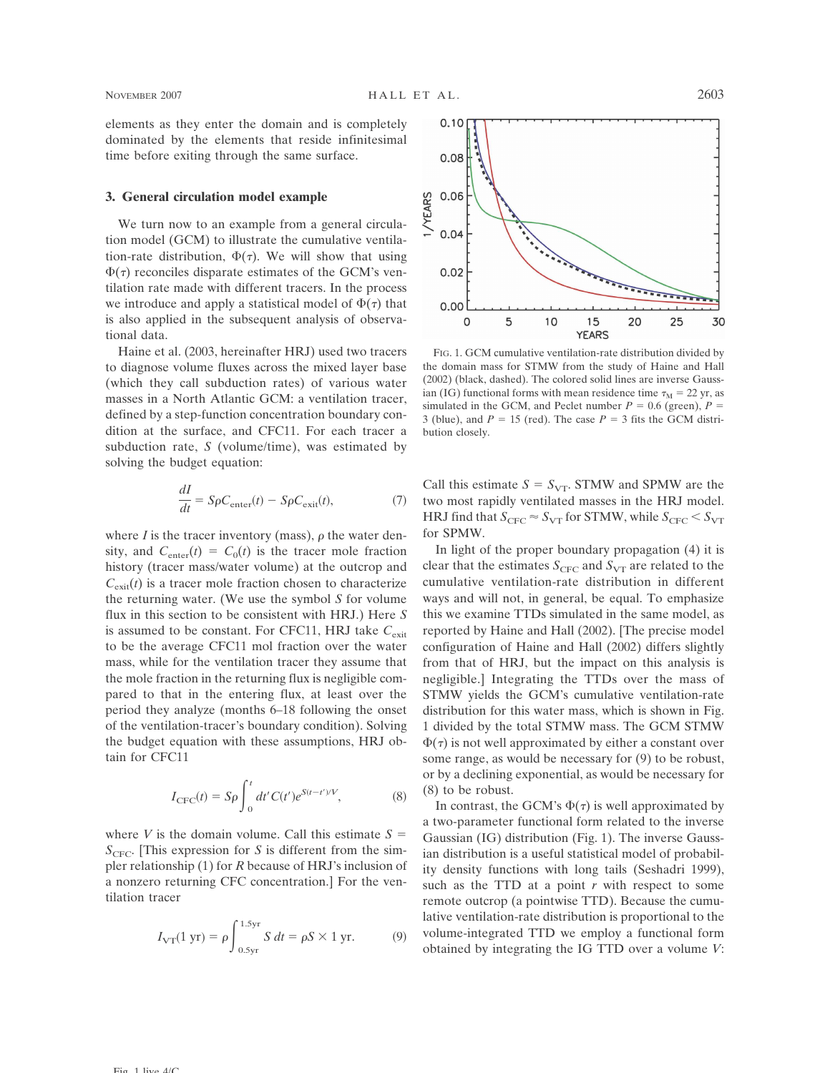elements as they enter the domain and is completely dominated by the elements that reside infinitesimal time before exiting through the same surface.

### **3. General circulation model example**

We turn now to an example from a general circulation model (GCM) to illustrate the cumulative ventilation-rate distribution,  $\Phi(\tau)$ . We will show that using  $\Phi(\tau)$  reconciles disparate estimates of the GCM's ventilation rate made with different tracers. In the process we introduce and apply a statistical model of  $\Phi(\tau)$  that is also applied in the subsequent analysis of observational data.

Haine et al. (2003, hereinafter HRJ) used two tracers to diagnose volume fluxes across the mixed layer base (which they call subduction rates) of various water masses in a North Atlantic GCM: a ventilation tracer, defined by a step-function concentration boundary condition at the surface, and CFC11. For each tracer a subduction rate, *S* (volume/time), was estimated by solving the budget equation:

$$
\frac{dI}{dt} = S\rho C_{\text{enter}}(t) - S\rho C_{\text{exit}}(t),\tag{7}
$$

where  $I$  is the tracer inventory (mass),  $\rho$  the water density, and  $C_{\text{enter}}(t) = C_0(t)$  is the tracer mole fraction history (tracer mass/water volume) at the outcrop and  $C_{\text{exit}}(t)$  is a tracer mole fraction chosen to characterize the returning water. (We use the symbol *S* for volume flux in this section to be consistent with HRJ.) Here *S* is assumed to be constant. For CFC11, HRJ take  $C_{\text{exit}}$ to be the average CFC11 mol fraction over the water mass, while for the ventilation tracer they assume that the mole fraction in the returning flux is negligible compared to that in the entering flux, at least over the period they analyze (months 6–18 following the onset of the ventilation-tracer's boundary condition). Solving the budget equation with these assumptions, HRJ obtain for CFC11

$$
I_{\rm CFC}(t) = S\rho \int_0^t dt' C(t') e^{S(t-t')/V},\tag{8}
$$

where *V* is the domain volume. Call this estimate  $S =$  $S_{\text{CFC}}$ . [This expression for *S* is different from the simpler relationship (1) for *R* because of HRJ's inclusion of a nonzero returning CFC concentration.] For the ventilation tracer

$$
I_{\rm VT}(1 \text{ yr}) = \rho \int_{0.5 \text{yr}}^{1.5 \text{yr}} S \, dt = \rho S \times 1 \text{ yr.}
$$
 (9)



FIG. 1. GCM cumulative ventilation-rate distribution divided by the domain mass for STMW from the study of Haine and Hall (2002) (black, dashed). The colored solid lines are inverse Gaussian (IG) functional forms with mean residence time  $\tau_{\rm M} = 22$  yr, as simulated in the GCM, and Peclet number  $P = 0.6$  (green),  $P =$ 3 (blue), and  $P = 15$  (red). The case  $P = 3$  fits the GCM distribution closely.

Call this estimate  $S = S_{VT}$ . STMW and SPMW are the two most rapidly ventilated masses in the HRJ model. HRJ find that  $S_{\text{CFC}} \approx S_{\text{VT}}$  for STMW, while  $S_{\text{CFC}} < S_{\text{VT}}$ for SPMW.

In light of the proper boundary propagation (4) it is clear that the estimates  $S_{\text{CFC}}$  and  $S_{\text{VT}}$  are related to the cumulative ventilation-rate distribution in different ways and will not, in general, be equal. To emphasize this we examine TTDs simulated in the same model, as reported by Haine and Hall (2002). [The precise model configuration of Haine and Hall (2002) differs slightly from that of HRJ, but the impact on this analysis is negligible.] Integrating the TTDs over the mass of STMW yields the GCM's cumulative ventilation-rate distribution for this water mass, which is shown in Fig. 1 divided by the total STMW mass. The GCM STMW  $\Phi(\tau)$  is not well approximated by either a constant over some range, as would be necessary for (9) to be robust, or by a declining exponential, as would be necessary for (8) to be robust.

In contrast, the GCM's  $\Phi(\tau)$  is well approximated by a two-parameter functional form related to the inverse Gaussian (IG) distribution (Fig. 1). The inverse Gaussian distribution is a useful statistical model of probability density functions with long tails (Seshadri 1999), such as the TTD at a point *r* with respect to some remote outcrop (a pointwise TTD). Because the cumulative ventilation-rate distribution is proportional to the volume-integrated TTD we employ a functional form obtained by integrating the IG TTD over a volume *V*: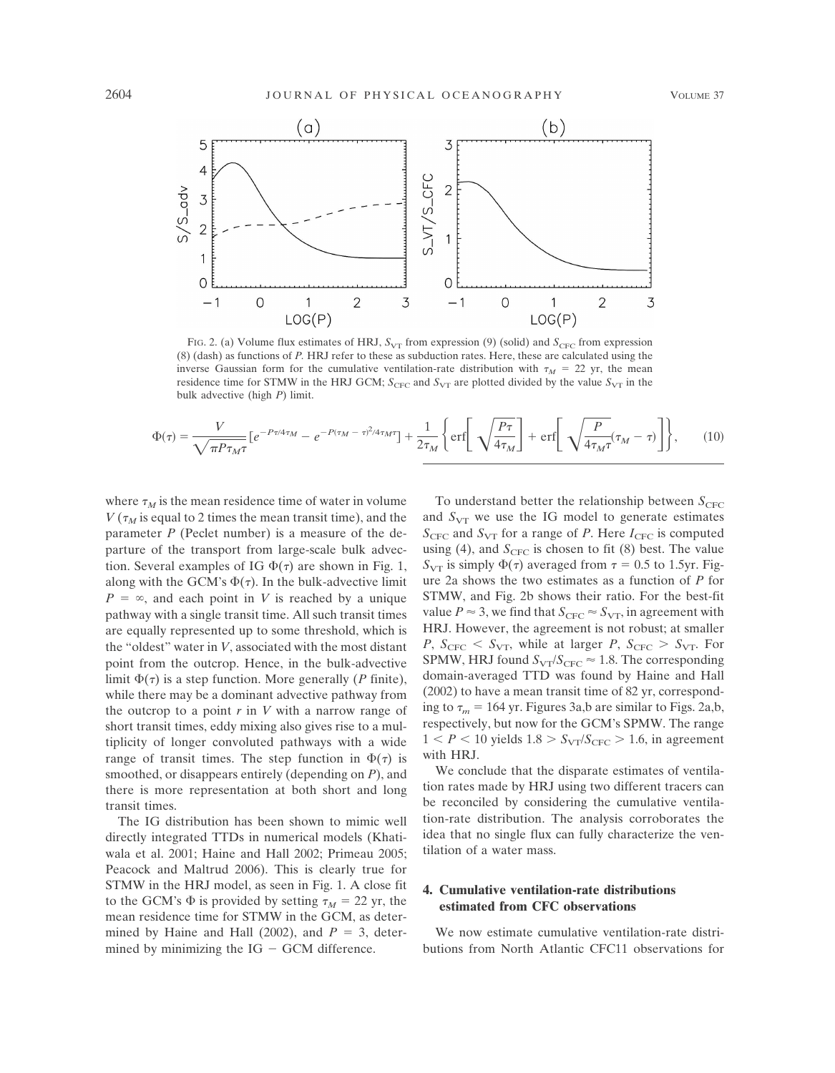

FIG. 2. (a) Volume flux estimates of HRJ,  $S_{VT}$  from expression (9) (solid) and  $S_{CFC}$  from expression (8) (dash) as functions of *P.* HRJ refer to these as subduction rates. Here, these are calculated using the inverse Gaussian form for the cumulative ventilation-rate distribution with  $\tau_M$  = 22 yr, the mean residence time for STMW in the HRJ GCM;  $S_{\text{CFC}}$  and  $S_{\text{VT}}$  are plotted divided by the value  $S_{\text{VT}}$  in the bulk advective (high *P*) limit.

$$
\Phi(\tau) = \frac{V}{\sqrt{\pi P \tau_M \tau}} \left[ e^{-P\tau/4\tau_M} - e^{-P(\tau_M - \tau)^2/4\tau_M \tau} \right] + \frac{1}{2\tau_M} \left\{ \text{erf} \left[ \sqrt{\frac{P\tau}{4\tau_M}} \right] + \text{erf} \left[ \sqrt{\frac{P}{4\tau_M \tau}} (\tau_M - \tau) \right] \right\}, \tag{10}
$$

where  $\tau_M$  is the mean residence time of water in volume  $V(\tau_M)$  is equal to 2 times the mean transit time), and the parameter *P* (Peclet number) is a measure of the departure of the transport from large-scale bulk advection. Several examples of IG  $\Phi(\tau)$  are shown in Fig. 1, along with the GCM's  $\Phi(\tau)$ . In the bulk-advective limit  $P = \infty$ , and each point in *V* is reached by a unique pathway with a single transit time. All such transit times are equally represented up to some threshold, which is the "oldest" water in *V*, associated with the most distant point from the outcrop. Hence, in the bulk-advective limit  $\Phi(\tau)$  is a step function. More generally (*P* finite), while there may be a dominant advective pathway from the outcrop to a point  $r$  in  $V$  with a narrow range of short transit times, eddy mixing also gives rise to a multiplicity of longer convoluted pathways with a wide range of transit times. The step function in  $\Phi(\tau)$  is smoothed, or disappears entirely (depending on *P*), and there is more representation at both short and long transit times.

The IG distribution has been shown to mimic well directly integrated TTDs in numerical models (Khatiwala et al. 2001; Haine and Hall 2002; Primeau 2005; Peacock and Maltrud 2006). This is clearly true for STMW in the HRJ model, as seen in Fig. 1. A close fit to the GCM's  $\Phi$  is provided by setting  $\tau_M = 22$  yr, the mean residence time for STMW in the GCM, as determined by Haine and Hall  $(2002)$ , and  $P = 3$ , determined by minimizing the  $IG - GCM$  difference.

To understand better the relationship between  $S_{\text{CFC}}$ and  $S_{\text{VT}}$  we use the IG model to generate estimates  $S_{\text{CFC}}$  and  $S_{\text{VT}}$  for a range of *P*. Here  $I_{\text{CFC}}$  is computed using (4), and  $S_{\text{CFC}}$  is chosen to fit (8) best. The value  $S_{\text{VT}}$  is simply  $\Phi(\tau)$  averaged from  $\tau = 0.5$  to 1.5yr. Figure 2a shows the two estimates as a function of *P* for STMW, and Fig. 2b shows their ratio. For the best-fit value  $P \approx 3$ , we find that  $S_{\text{CFC}} \approx S_{\text{VT}}$ , in agreement with HRJ. However, the agreement is not robust; at smaller *P*,  $S_{\text{CFC}} < S_{\text{VT}}$ , while at larger *P*,  $S_{\text{CFC}} > S_{\text{VT}}$ . For SPMW, HRJ found  $S_{\rm VT}/S_{\rm CFC} \approx 1.8$ . The corresponding domain-averaged TTD was found by Haine and Hall (2002) to have a mean transit time of 82 yr, corresponding to  $\tau_m$  = 164 yr. Figures 3a,b are similar to Figs. 2a,b, respectively, but now for the GCM's SPMW. The range  $1 < P < 10$  yields  $1.8 > S<sub>VT</sub>/S<sub>CFC</sub> > 1.6$ , in agreement with HRJ.

We conclude that the disparate estimates of ventilation rates made by HRJ using two different tracers can be reconciled by considering the cumulative ventilation-rate distribution. The analysis corroborates the idea that no single flux can fully characterize the ventilation of a water mass.

# **4. Cumulative ventilation-rate distributions estimated from CFC observations**

We now estimate cumulative ventilation-rate distributions from North Atlantic CFC11 observations for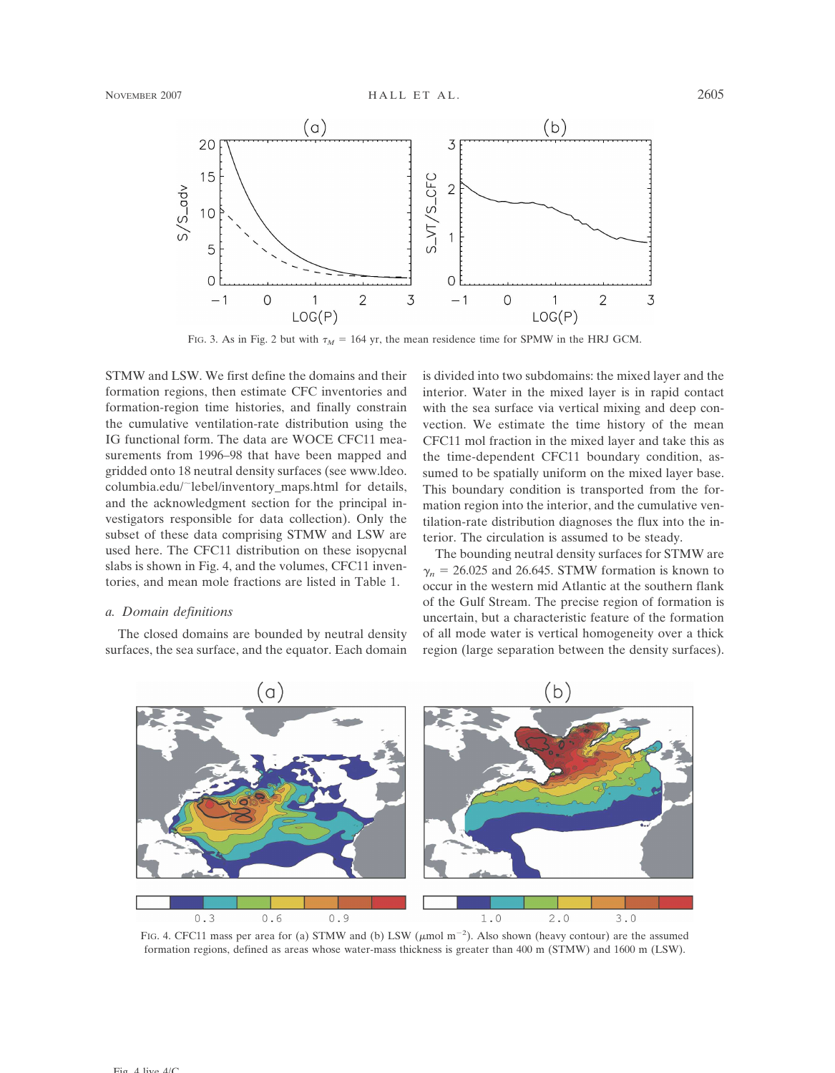

FIG. 3. As in Fig. 2 but with  $\tau_M = 164$  yr, the mean residence time for SPMW in the HRJ GCM.

STMW and LSW. We first define the domains and their formation regions, then estimate CFC inventories and formation-region time histories, and finally constrain the cumulative ventilation-rate distribution using the IG functional form. The data are WOCE CFC11 measurements from 1996–98 that have been mapped and gridded onto 18 neutral density surfaces (see www.ldeo.  $column bias.edu$ <sup>-</sup>lebel/inventory maps.html for details, and the acknowledgment section for the principal investigators responsible for data collection). Only the subset of these data comprising STMW and LSW are used here. The CFC11 distribution on these isopycnal slabs is shown in Fig. 4, and the volumes, CFC11 inventories, and mean mole fractions are listed in Table 1.

### *a. Domain definitions*

The closed domains are bounded by neutral density surfaces, the sea surface, and the equator. Each domain is divided into two subdomains: the mixed layer and the interior. Water in the mixed layer is in rapid contact with the sea surface via vertical mixing and deep convection. We estimate the time history of the mean CFC11 mol fraction in the mixed layer and take this as the time-dependent CFC11 boundary condition, assumed to be spatially uniform on the mixed layer base. This boundary condition is transported from the formation region into the interior, and the cumulative ventilation-rate distribution diagnoses the flux into the interior. The circulation is assumed to be steady.

The bounding neutral density surfaces for STMW are  $\gamma_n$  = 26.025 and 26.645. STMW formation is known to occur in the western mid Atlantic at the southern flank of the Gulf Stream. The precise region of formation is uncertain, but a characteristic feature of the formation of all mode water is vertical homogeneity over a thick region (large separation between the density surfaces).



FIG. 4. CFC11 mass per area for (a) STMW and (b) LSW ( $\mu$ mol m<sup>-2</sup>). Also shown (heavy contour) are the assumed formation regions, defined as areas whose water-mass thickness is greater than 400 m (STMW) and 1600 m (LSW).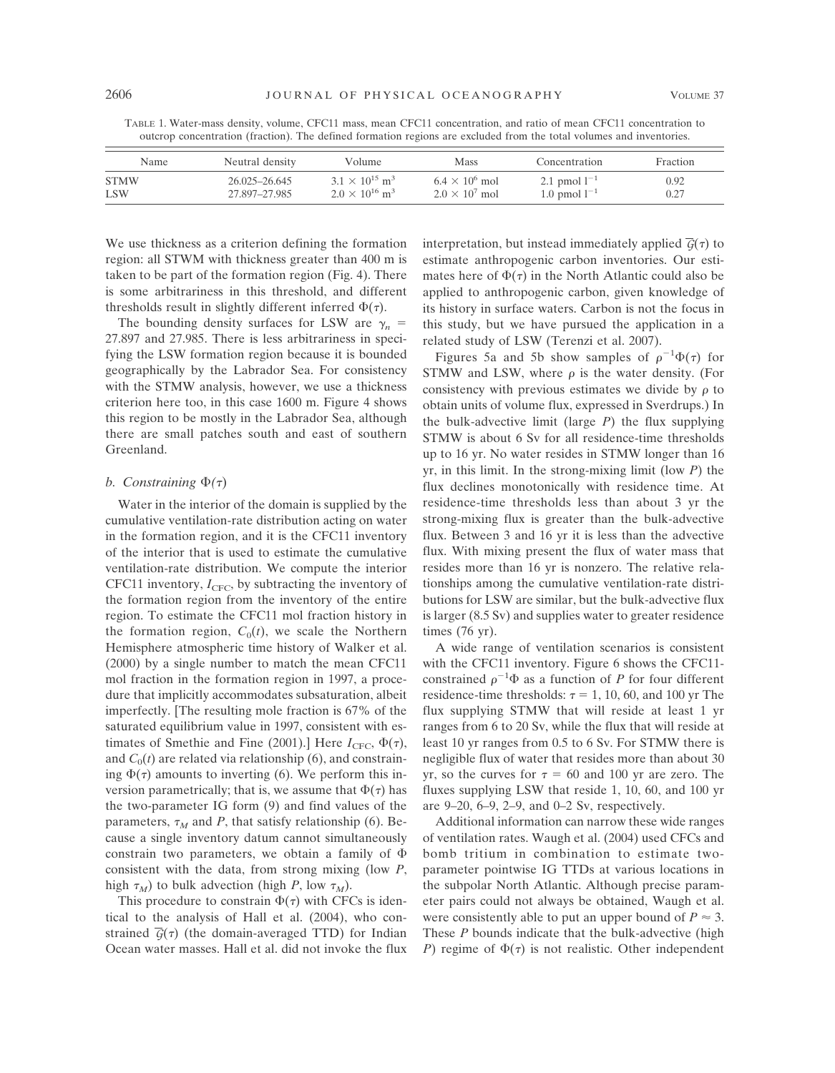TABLE 1. Water-mass density, volume, CFC11 mass, mean CFC11 concentration, and ratio of mean CFC11 concentration to outcrop concentration (fraction). The defined formation regions are excluded from the total volumes and inventories.

| Name        | Neutral density   | Volume                              | Mass                    | Concentration     | Fraction |
|-------------|-------------------|-------------------------------------|-------------------------|-------------------|----------|
| <b>STMW</b> | $26.025 - 26.645$ | $3.1 \times 10^{15}$ m <sup>3</sup> | $6.4 \times 10^{6}$ mol | 2.1 pmol $1^{-1}$ | 0.92     |
| <b>LSW</b>  | 27.897-27.985     | $2.0 \times 10^{16}$ m <sup>3</sup> | $2.0 \times 10^7$ mol   | 1.0 pmol $1^{-1}$ | 0.27     |

We use thickness as a criterion defining the formation region: all STWM with thickness greater than 400 m is taken to be part of the formation region (Fig. 4). There is some arbitrariness in this threshold, and different thresholds result in slightly different inferred  $\Phi(\tau)$ .

The bounding density surfaces for LSW are  $\gamma_n$  = 27.897 and 27.985. There is less arbitrariness in specifying the LSW formation region because it is bounded geographically by the Labrador Sea. For consistency with the STMW analysis, however, we use a thickness criterion here too, in this case 1600 m. Figure 4 shows this region to be mostly in the Labrador Sea, although there are small patches south and east of southern Greenland.

## b. Constraining  $\Phi(\tau)$

Water in the interior of the domain is supplied by the cumulative ventilation-rate distribution acting on water in the formation region, and it is the CFC11 inventory of the interior that is used to estimate the cumulative ventilation-rate distribution. We compute the interior CFC11 inventory,  $I_{\text{CFC}}$ , by subtracting the inventory of the formation region from the inventory of the entire region. To estimate the CFC11 mol fraction history in the formation region,  $C_0(t)$ , we scale the Northern Hemisphere atmospheric time history of Walker et al. (2000) by a single number to match the mean CFC11 mol fraction in the formation region in 1997, a procedure that implicitly accommodates subsaturation, albeit imperfectly. [The resulting mole fraction is 67% of the saturated equilibrium value in 1997, consistent with estimates of Smethie and Fine (2001).] Here  $I_{\text{CFC}}$ ,  $\Phi(\tau)$ , and  $C_0(t)$  are related via relationship (6), and constraining  $\Phi(\tau)$  amounts to inverting (6). We perform this inversion parametrically; that is, we assume that  $\Phi(\tau)$  has the two-parameter IG form (9) and find values of the parameters,  $\tau_M$  and *P*, that satisfy relationship (6). Because a single inventory datum cannot simultaneously constrain two parameters, we obtain a family of  $\Phi$ consistent with the data, from strong mixing (low *P*, high  $\tau_M$ ) to bulk advection (high *P*, low  $\tau_M$ ).

This procedure to constrain  $\Phi(\tau)$  with CFCs is identical to the analysis of Hall et al. (2004), who constrained  $\overline{G}(\tau)$  (the domain-averaged TTD) for Indian Ocean water masses. Hall et al. did not invoke the flux

interpretation, but instead immediately applied  $\overline{G}(\tau)$  to estimate anthropogenic carbon inventories. Our estimates here of  $\Phi(\tau)$  in the North Atlantic could also be applied to anthropogenic carbon, given knowledge of its history in surface waters. Carbon is not the focus in this study, but we have pursued the application in a related study of LSW (Terenzi et al. 2007).

Figures 5a and 5b show samples of  $\rho^{-1}\Phi(\tau)$  for STMW and LSW, where  $\rho$  is the water density. (For consistency with previous estimates we divide by  $\rho$  to obtain units of volume flux, expressed in Sverdrups.) In the bulk-advective limit (large *P*) the flux supplying STMW is about 6 Sv for all residence-time thresholds up to 16 yr. No water resides in STMW longer than 16 yr, in this limit. In the strong-mixing limit (low *P*) the flux declines monotonically with residence time. At residence-time thresholds less than about 3 yr the strong-mixing flux is greater than the bulk-advective flux. Between 3 and 16 yr it is less than the advective flux. With mixing present the flux of water mass that resides more than 16 yr is nonzero. The relative relationships among the cumulative ventilation-rate distributions for LSW are similar, but the bulk-advective flux is larger (8.5 Sv) and supplies water to greater residence times (76 yr).

A wide range of ventilation scenarios is consistent with the CFC11 inventory. Figure 6 shows the CFC11 constrained  $\rho^{-1}\Phi$  as a function of *P* for four different residence-time thresholds:  $\tau = 1, 10, 60,$  and 100 yr The flux supplying STMW that will reside at least 1 yr ranges from 6 to 20 Sv, while the flux that will reside at least 10 yr ranges from 0.5 to 6 Sv. For STMW there is negligible flux of water that resides more than about 30 yr, so the curves for  $\tau = 60$  and 100 yr are zero. The fluxes supplying LSW that reside 1, 10, 60, and 100 yr are 9–20, 6–9, 2–9, and 0–2 Sv, respectively.

Additional information can narrow these wide ranges of ventilation rates. Waugh et al. (2004) used CFCs and bomb tritium in combination to estimate twoparameter pointwise IG TTDs at various locations in the subpolar North Atlantic. Although precise parameter pairs could not always be obtained, Waugh et al. were consistently able to put an upper bound of  $P \approx 3$ . These *P* bounds indicate that the bulk-advective (high *P*) regime of  $\Phi(\tau)$  is not realistic. Other independent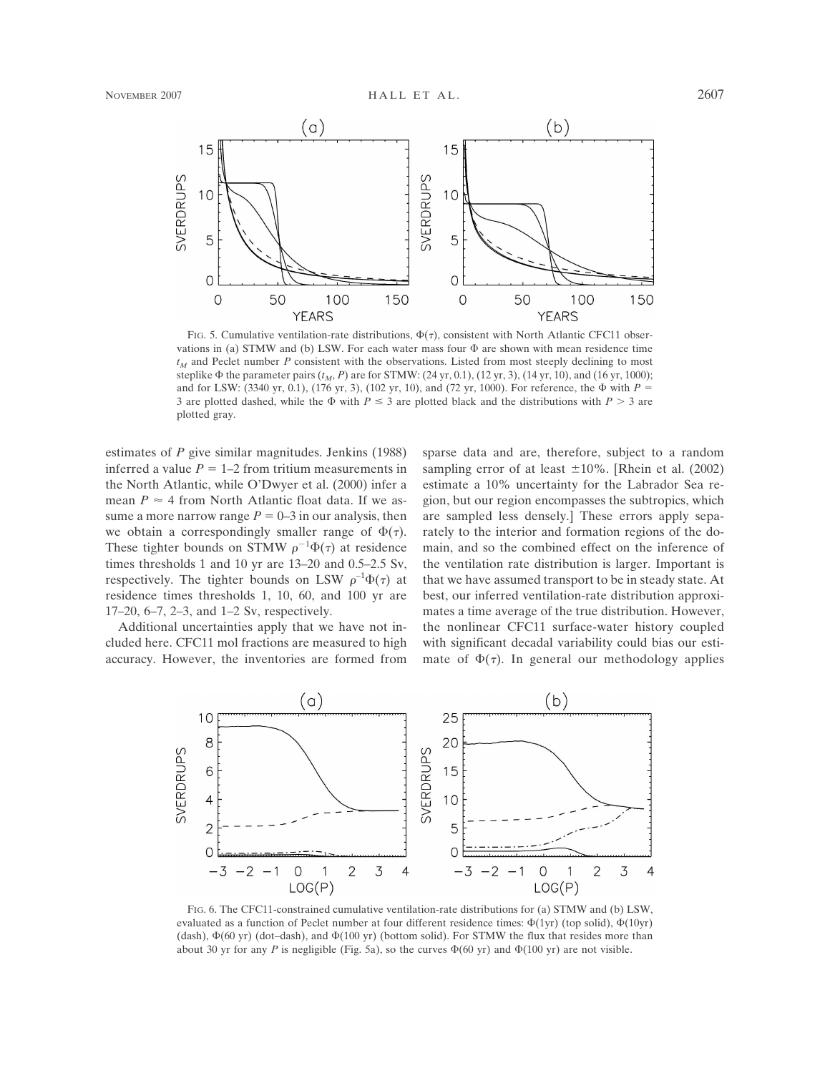

FIG. 5. Cumulative ventilation-rate distributions,  $\Phi(\tau)$ , consistent with North Atlantic CFC11 observations in (a) STMW and (b) LSW. For each water mass four  $\Phi$  are shown with mean residence time  $t_M$  and Peclet number *P* consistent with the observations. Listed from most steeply declining to most steplike  $\Phi$  the parameter pairs  $(t_M, P)$  are for STMW: (24 yr, 0.1), (12 yr, 3), (14 yr, 10), and (16 yr, 1000); and for LSW:  $(3340 \text{ yr}, 0.1)$ ,  $(176 \text{ yr}, 3)$ ,  $(102 \text{ yr}, 10)$ , and  $(72 \text{ yr}, 1000)$ . For reference, the  $\Phi$  with  $P =$ 3 are plotted dashed, while the  $\Phi$  with  $P \le 3$  are plotted black and the distributions with  $P > 3$  are plotted gray.

estimates of *P* give similar magnitudes. Jenkins (1988) inferred a value  $P = 1-2$  from tritium measurements in the North Atlantic, while O'Dwyer et al. (2000) infer a mean  $P \approx 4$  from North Atlantic float data. If we assume a more narrow range  $P = 0$ –3 in our analysis, then we obtain a correspondingly smaller range of  $\Phi(\tau)$ . These tighter bounds on STMW  $\rho^{-1}\Phi(\tau)$  at residence times thresholds 1 and 10 yr are 13–20 and 0.5–2.5 Sv, respectively. The tighter bounds on LSW  $\rho^{-1}\Phi(\tau)$  at residence times thresholds 1, 10, 60, and 100 yr are 17–20, 6–7, 2–3, and 1–2 Sv, respectively.

Additional uncertainties apply that we have not included here. CFC11 mol fractions are measured to high accuracy. However, the inventories are formed from

sparse data and are, therefore, subject to a random sampling error of at least  $\pm 10\%$ . [Rhein et al. (2002) estimate a 10% uncertainty for the Labrador Sea region, but our region encompasses the subtropics, which are sampled less densely.] These errors apply separately to the interior and formation regions of the domain, and so the combined effect on the inference of the ventilation rate distribution is larger. Important is that we have assumed transport to be in steady state. At best, our inferred ventilation-rate distribution approximates a time average of the true distribution. However, the nonlinear CFC11 surface-water history coupled with significant decadal variability could bias our estimate of  $\Phi(\tau)$ . In general our methodology applies



FIG. 6. The CFC11-constrained cumulative ventilation-rate distributions for (a) STMW and (b) LSW, evaluated as a function of Peclet number at four different residence times:  $\Phi(1yr)$  (top solid),  $\Phi(10yr)$ (dash),  $\Phi$ (60 yr) (dot–dash), and  $\Phi$ (100 yr) (bottom solid). For STMW the flux that resides more than about 30 yr for any *P* is negligible (Fig. 5a), so the curves  $\Phi(60 \text{ yr})$  and  $\Phi(100 \text{ yr})$  are not visible.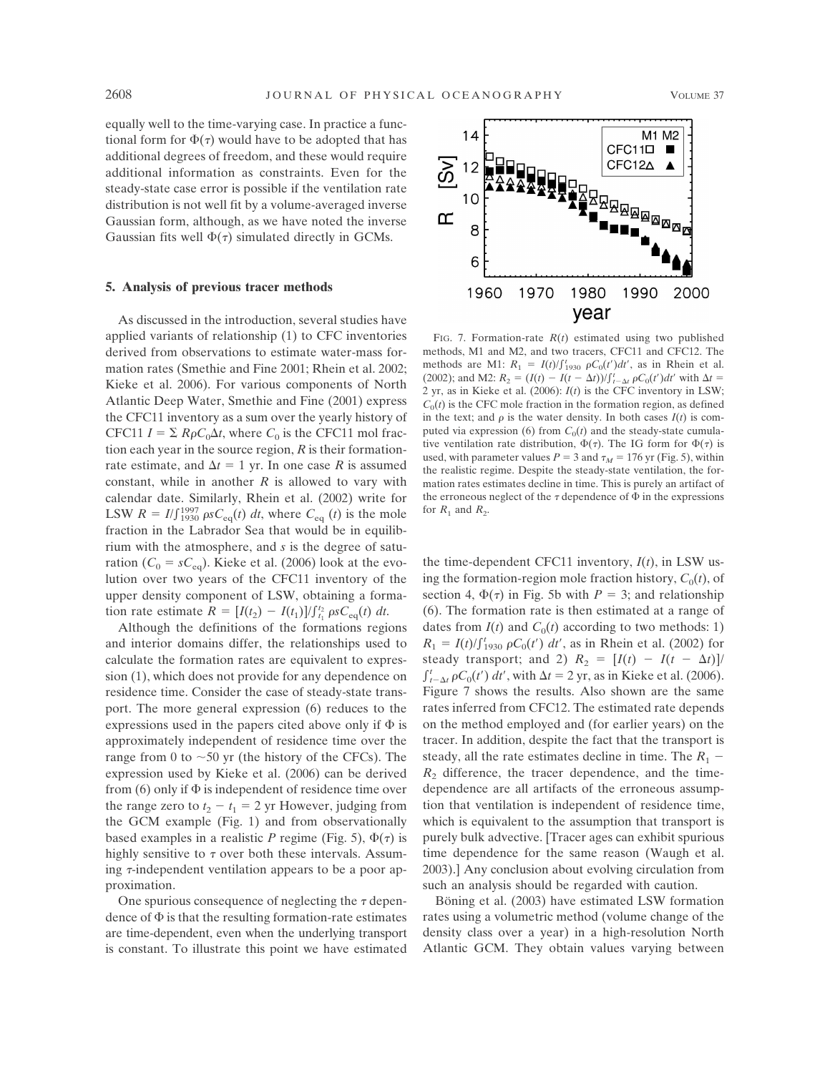equally well to the time-varying case. In practice a functional form for  $\Phi(\tau)$  would have to be adopted that has additional degrees of freedom, and these would require additional information as constraints. Even for the steady-state case error is possible if the ventilation rate distribution is not well fit by a volume-averaged inverse Gaussian form, although, as we have noted the inverse Gaussian fits well  $\Phi(\tau)$  simulated directly in GCMs.

### **5. Analysis of previous tracer methods**

As discussed in the introduction, several studies have applied variants of relationship (1) to CFC inventories derived from observations to estimate water-mass formation rates (Smethie and Fine 2001; Rhein et al. 2002; Kieke et al. 2006). For various components of North Atlantic Deep Water, Smethie and Fine (2001) express the CFC11 inventory as a sum over the yearly history of CFC11  $I = \sum R \rho C_0 \Delta t$ , where  $C_0$  is the CFC11 mol fraction each year in the source region, *R* is their formationrate estimate, and  $\Delta t = 1$  yr. In one case *R* is assumed constant, while in another *R* is allowed to vary with calendar date. Similarly, Rhein et al. (2002) write for LSW  $R = I/f_{1930}^{1997} \rho sC_{eq}(t) dt$ , where  $C_{eq}(t)$  is the mole fraction in the Labrador Sea that would be in equilibrium with the atmosphere, and *s* is the degree of saturation ( $C_0 = sC_{eq}$ ). Kieke et al. (2006) look at the evolution over two years of the CFC11 inventory of the upper density component of LSW, obtaining a formation rate estimate  $R = [I(t_2) - I(t_1)]/f_{t_1}^{t_2} \rho s C_{eq}(t) dt$ .

Although the definitions of the formations regions and interior domains differ, the relationships used to calculate the formation rates are equivalent to expression (1), which does not provide for any dependence on residence time. Consider the case of steady-state transport. The more general expression (6) reduces to the expressions used in the papers cited above only if  $\Phi$  is approximately independent of residence time over the range from 0 to  $\sim$  50 yr (the history of the CFCs). The expression used by Kieke et al. (2006) can be derived from  $(6)$  only if  $\Phi$  is independent of residence time over the range zero to  $t_2 - t_1 = 2$  yr However, judging from the GCM example (Fig. 1) and from observationally based examples in a realistic P regime (Fig. 5),  $\Phi(\tau)$  is highly sensitive to  $\tau$  over both these intervals. Assuming  $\tau$ -independent ventilation appears to be a poor approximation.

One spurious consequence of neglecting the  $\tau$  dependence of  $\Phi$  is that the resulting formation-rate estimates are time-dependent, even when the underlying transport is constant. To illustrate this point we have estimated



FIG. 7. Formation-rate *R*(*t*) estimated using two published methods, M1 and M2, and two tracers, CFC11 and CFC12. The methods are M1:  $R_1 = I(t)/\int_{1930}^{t} \rho C_0(t')dt'$ , as in Rhein et al. (2002); and M2:  $R_2 = (I(t) - I(t - \Delta t)) / \int_{t - \Delta t}^{t} \rho C_0(t') dt'$  with  $\Delta t =$ 2 yr, as in Kieke et al. (2006): *I*(*t*) is the CFC inventory in LSW;  $C_0(t)$  is the CFC mole fraction in the formation region, as defined in the text; and  $\rho$  is the water density. In both cases  $I(t)$  is computed via expression (6) from  $C_0(t)$  and the steady-state cumulative ventilation rate distribution,  $\Phi(\tau)$ . The IG form for  $\Phi(\tau)$  is used, with parameter values  $P = 3$  and  $\tau_M = 176$  yr (Fig. 5), within the realistic regime. Despite the steady-state ventilation, the formation rates estimates decline in time. This is purely an artifact of the erroneous neglect of the  $\tau$  dependence of  $\Phi$  in the expressions for  $R_1$  and  $R_2$ .

the time-dependent CFC11 inventory,  $I(t)$ , in LSW using the formation-region mole fraction history,  $C_0(t)$ , of section 4,  $\Phi(\tau)$  in Fig. 5b with  $P = 3$ ; and relationship (6). The formation rate is then estimated at a range of dates from  $I(t)$  and  $C_0(t)$  according to two methods: 1)  $R_1 = I(t)/\int_{1930}^{t} \rho C_0(t') dt'$ , as in Rhein et al. (2002) for steady transport; and 2)  $R_2 = [I(t) - I(t - \Delta t)]$  $\int_{t-\Delta t}^{t} \rho C_0(t') dt'$ , with  $\Delta t = 2$  yr, as in Kieke et al. (2006). Figure 7 shows the results. Also shown are the same rates inferred from CFC12. The estimated rate depends on the method employed and (for earlier years) on the tracer. In addition, despite the fact that the transport is steady, all the rate estimates decline in time. The  $R_1$  –  $R<sub>2</sub>$  difference, the tracer dependence, and the timedependence are all artifacts of the erroneous assumption that ventilation is independent of residence time, which is equivalent to the assumption that transport is purely bulk advective. [Tracer ages can exhibit spurious time dependence for the same reason (Waugh et al. 2003).] Any conclusion about evolving circulation from such an analysis should be regarded with caution.

Böning et al. (2003) have estimated LSW formation rates using a volumetric method (volume change of the density class over a year) in a high-resolution North Atlantic GCM. They obtain values varying between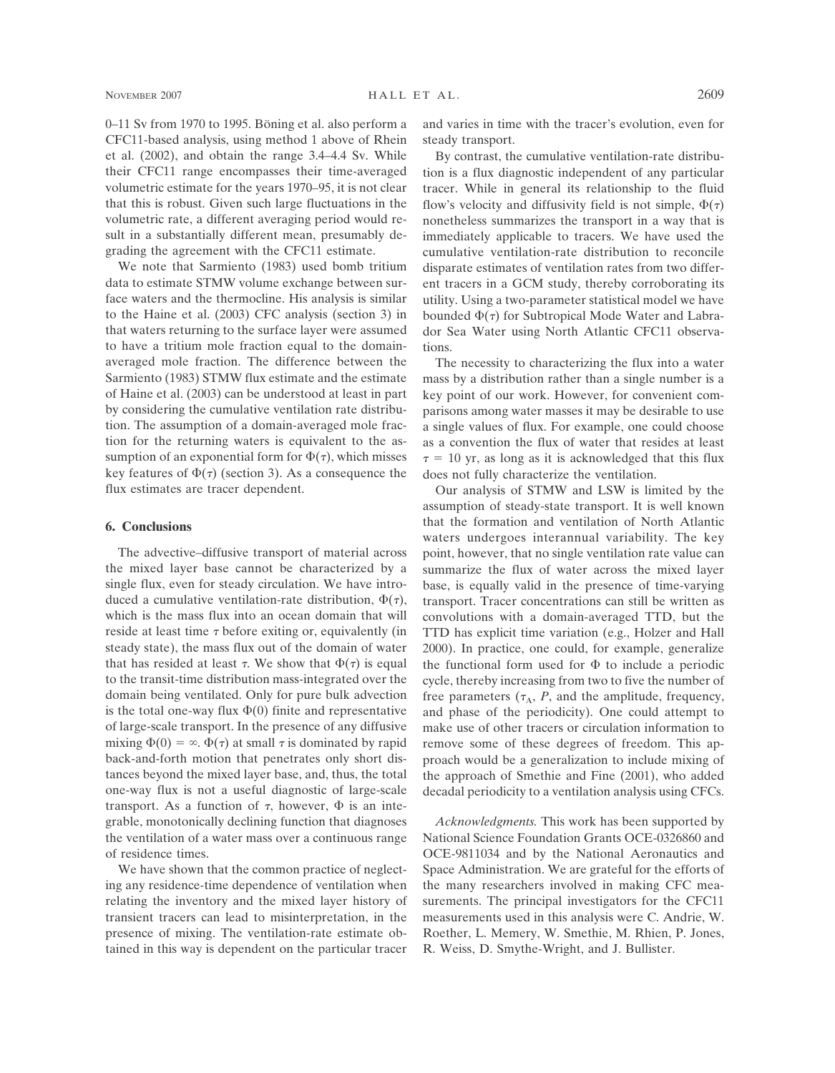0–11 Sv from 1970 to 1995. Böning et al. also perform a CFC11-based analysis, using method 1 above of Rhein et al. (2002), and obtain the range 3.4–4.4 Sv. While their CFC11 range encompasses their time-averaged volumetric estimate for the years 1970–95, it is not clear that this is robust. Given such large fluctuations in the volumetric rate, a different averaging period would result in a substantially different mean, presumably degrading the agreement with the CFC11 estimate.

We note that Sarmiento (1983) used bomb tritium data to estimate STMW volume exchange between surface waters and the thermocline. His analysis is similar to the Haine et al. (2003) CFC analysis (section 3) in that waters returning to the surface layer were assumed to have a tritium mole fraction equal to the domainaveraged mole fraction. The difference between the Sarmiento (1983) STMW flux estimate and the estimate of Haine et al. (2003) can be understood at least in part by considering the cumulative ventilation rate distribution. The assumption of a domain-averaged mole fraction for the returning waters is equivalent to the assumption of an exponential form for  $\Phi(\tau)$ , which misses key features of  $\Phi(\tau)$  (section 3). As a consequence the flux estimates are tracer dependent.

### **6. Conclusions**

The advective–diffusive transport of material across the mixed layer base cannot be characterized by a single flux, even for steady circulation. We have introduced a cumulative ventilation-rate distribution,  $\Phi(\tau)$ , which is the mass flux into an ocean domain that will reside at least time  $\tau$  before exiting or, equivalently (in steady state), the mass flux out of the domain of water that has resided at least  $\tau$ . We show that  $\Phi(\tau)$  is equal to the transit-time distribution mass-integrated over the domain being ventilated. Only for pure bulk advection is the total one-way flux  $\Phi(0)$  finite and representative of large-scale transport. In the presence of any diffusive mixing  $\Phi(0) = \infty$ .  $\Phi(\tau)$  at small  $\tau$  is dominated by rapid back-and-forth motion that penetrates only short distances beyond the mixed layer base, and, thus, the total one-way flux is not a useful diagnostic of large-scale transport. As a function of  $\tau$ , however,  $\Phi$  is an integrable, monotonically declining function that diagnoses the ventilation of a water mass over a continuous range of residence times.

We have shown that the common practice of neglecting any residence-time dependence of ventilation when relating the inventory and the mixed layer history of transient tracers can lead to misinterpretation, in the presence of mixing. The ventilation-rate estimate obtained in this way is dependent on the particular tracer

and varies in time with the tracer's evolution, even for steady transport.

By contrast, the cumulative ventilation-rate distribution is a flux diagnostic independent of any particular tracer. While in general its relationship to the fluid flow's velocity and diffusivity field is not simple,  $\Phi(\tau)$ nonetheless summarizes the transport in a way that is immediately applicable to tracers. We have used the cumulative ventilation-rate distribution to reconcile disparate estimates of ventilation rates from two different tracers in a GCM study, thereby corroborating its utility. Using a two-parameter statistical model we have bounded  $\Phi(\tau)$  for Subtropical Mode Water and Labrador Sea Water using North Atlantic CFC11 observations.

The necessity to characterizing the flux into a water mass by a distribution rather than a single number is a key point of our work. However, for convenient comparisons among water masses it may be desirable to use a single values of flux. For example, one could choose as a convention the flux of water that resides at least  $\tau = 10$  yr, as long as it is acknowledged that this flux does not fully characterize the ventilation.

Our analysis of STMW and LSW is limited by the assumption of steady-state transport. It is well known that the formation and ventilation of North Atlantic waters undergoes interannual variability. The key point, however, that no single ventilation rate value can summarize the flux of water across the mixed layer base, is equally valid in the presence of time-varying transport. Tracer concentrations can still be written as convolutions with a domain-averaged TTD, but the TTD has explicit time variation (e.g., Holzer and Hall 2000). In practice, one could, for example, generalize the functional form used for  $\Phi$  to include a periodic cycle, thereby increasing from two to five the number of free parameters  $(\tau_A, P, \text{ and the amplitude, frequency},$ and phase of the periodicity). One could attempt to make use of other tracers or circulation information to remove some of these degrees of freedom. This approach would be a generalization to include mixing of the approach of Smethie and Fine (2001), who added decadal periodicity to a ventilation analysis using CFCs.

*Acknowledgments.* This work has been supported by National Science Foundation Grants OCE-0326860 and OCE-9811034 and by the National Aeronautics and Space Administration. We are grateful for the efforts of the many researchers involved in making CFC measurements. The principal investigators for the CFC11 measurements used in this analysis were C. Andrie, W. Roether, L. Memery, W. Smethie, M. Rhien, P. Jones, R. Weiss, D. Smythe-Wright, and J. Bullister.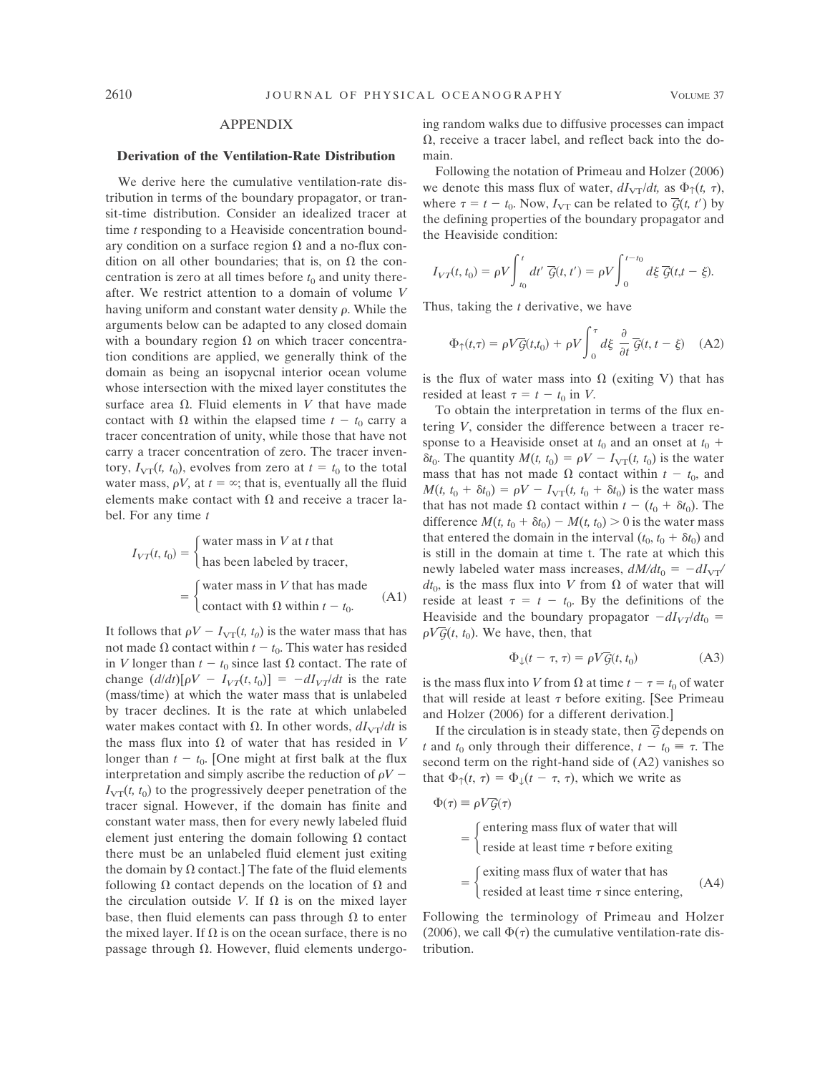## APPENDIX

### **Derivation of the Ventilation-Rate Distribution**

We derive here the cumulative ventilation-rate distribution in terms of the boundary propagator, or transit-time distribution. Consider an idealized tracer at time *t* responding to a Heaviside concentration boundary condition on a surface region  $\Omega$  and a no-flux condition on all other boundaries; that is, on  $\Omega$  the concentration is zero at all times before  $t_0$  and unity thereafter. We restrict attention to a domain of volume *V* having uniform and constant water density  $\rho$ . While the arguments below can be adapted to any closed domain with a boundary region  $\Omega$  on which tracer concentration conditions are applied, we generally think of the domain as being an isopycnal interior ocean volume whose intersection with the mixed layer constitutes the surface area  $\Omega$ . Fluid elements in *V* that have made contact with  $\Omega$  within the elapsed time  $t - t_0$  carry a tracer concentration of unity, while those that have not carry a tracer concentration of zero. The tracer inventory,  $I_{\text{VT}}(t, t_0)$ , evolves from zero at  $t = t_0$  to the total water mass,  $\rho V$ , at  $t = \infty$ ; that is, eventually all the fluid elements make contact with  $\Omega$  and receive a tracer label. For any time *t*

$$
I_{VT}(t, t_0) = \begin{cases} \text{water mass in } V \text{ at } t \text{ that} \\ \text{has been labeled by tracer,} \end{cases}
$$

$$
= \begin{cases} \text{water mass in } V \text{ that has made} \\ \text{contact with } \Omega \text{ within } t - t_0. \end{cases} (A1)
$$

It follows that  $\rho V - I_{\text{VT}}(t, t_0)$  is the water mass that has not made  $\Omega$  contact within  $t - t_0$ . This water has resided in *V* longer than  $t - t_0$  since last  $\Omega$  contact. The rate of change  $(d/dt)[\rho V - I_{VT}(t, t_0)] = -dI_{VT}/dt$  is the rate (mass/time) at which the water mass that is unlabeled by tracer declines. It is the rate at which unlabeled water makes contact with  $\Omega$ . In other words,  $dI_{\text{VT}}/dt$  is the mass flux into  $\Omega$  of water that has resided in *V* longer than  $t - t_0$ . [One might at first balk at the flux interpretation and simply ascribe the reduction of  $\rho V$  –  $I_{\text{VT}}(t, t_0)$  to the progressively deeper penetration of the tracer signal. However, if the domain has finite and constant water mass, then for every newly labeled fluid element just entering the domain following  $\Omega$  contact there must be an unlabeled fluid element just exiting the domain by  $\Omega$  contact.] The fate of the fluid elements following  $\Omega$  contact depends on the location of  $\Omega$  and the circulation outside  $V$ . If  $\Omega$  is on the mixed layer base, then fluid elements can pass through  $\Omega$  to enter the mixed layer. If  $\Omega$  is on the ocean surface, there is no passage through  $\Omega$ . However, fluid elements undergoing random walks due to diffusive processes can impact  $\Omega$ , receive a tracer label, and reflect back into the domain.

Following the notation of Primeau and Holzer (2006) we denote this mass flux of water,  $dI_{\text{VT}}/dt$ , as  $\Phi_{\uparrow}(t, \tau)$ , where  $\tau = t - t_0$ . Now,  $I_{\rm VT}$  can be related to  $\overline{\mathcal{G}}(t, t')$  by the defining properties of the boundary propagator and the Heaviside condition:

$$
I_{VT}(t, t_0) = \rho V \int_{t_0}^t dt' \overline{\mathcal{G}}(t, t') = \rho V \int_0^{t - t_0} d\xi \overline{\mathcal{G}}(t, t - \xi).
$$

Thus, taking the *t* derivative, we have

$$
\Phi_{\uparrow}(t,\tau) = \rho V \overline{\mathcal{G}}(t,t_0) + \rho V \int_0^{\tau} d\xi \frac{\partial}{\partial t} \overline{\mathcal{G}}(t,t-\xi) \quad \text{(A2)}
$$

is the flux of water mass into  $\Omega$  (exiting V) that has resided at least  $\tau = t - t_0$  in *V*.

To obtain the interpretation in terms of the flux entering *V*, consider the difference between a tracer response to a Heaviside onset at  $t_0$  and an onset at  $t_0$  +  $\delta t_0$ . The quantity  $M(t, t_0) = \rho V - I_{\text{VT}}(t, t_0)$  is the water mass that has not made  $\Omega$  contact within  $t - t_0$ , and  $M(t, t_0 + \delta t_0) = \rho V - I_{\text{VT}}(t, t_0 + \delta t_0)$  is the water mass that has not made  $\Omega$  contact within  $t - (t_0 + \delta t_0)$ . The difference  $M(t, t_0 + \delta t_0) - M(t, t_0) > 0$  is the water mass that entered the domain in the interval  $(t_0, t_0 + \delta t_0)$  and is still in the domain at time t. The rate at which this newly labeled water mass increases,  $dM/dt_0 = -dI_{\text{VT}}/$  $dt_0$ , is the mass flux into *V* from  $\Omega$  of water that will reside at least  $\tau = t - t_0$ . By the definitions of the Heaviside and the boundary propagator  $-dI_{VT}/dt_0 =$  $\rho V \bar{G}(t, t_0)$ . We have, then, that

$$
\Phi_{\downarrow}(t-\tau,\tau) = \rho V \overline{\mathcal{G}}(t,t_0) \tag{A3}
$$

is the mass flux into *V* from  $\Omega$  at time  $t - \tau = t_0$  of water that will reside at least  $\tau$  before exiting. [See Primeau and Holzer (2006) for a different derivation.]

If the circulation is in steady state, then  $\overline{G}$  depends on *t* and  $t_0$  only through their difference,  $t - t_0 \equiv \tau$ . The second term on the right-hand side of (A2) vanishes so that  $\Phi_{\uparrow}(t, \tau) = \Phi_{\downarrow}(t - \tau, \tau)$ , which we write as

$$
\Phi(\tau) \equiv \rho V \overline{g}(\tau)
$$
\n
$$
= \begin{cases}\n\text{entering mass flux of water that will} \\
\text{reside at least time } \tau \text{ before exiting} \\
\end{cases}
$$
\n
$$
= \begin{cases}\n\text{exiting mass flux of water that has} \\
\text{resided at least time } \tau \text{ since entering,}\n\end{cases} (A4)
$$

Following the terminology of Primeau and Holzer (2006), we call  $\Phi(\tau)$  the cumulative ventilation-rate distribution.